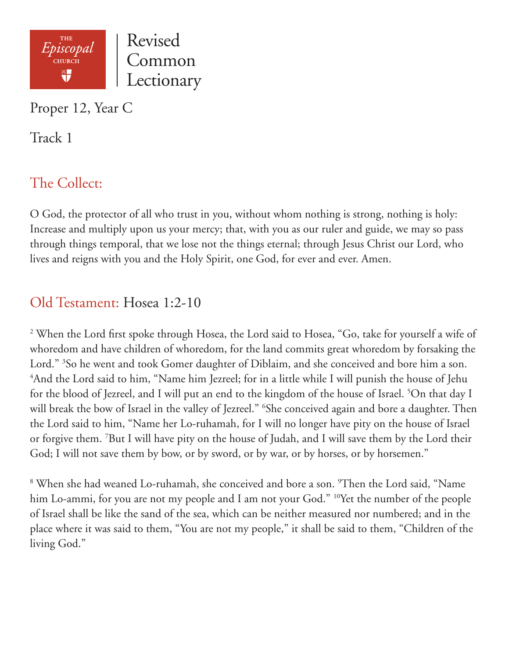

Proper 12, Year C

Track 1

# The Collect:

O God, the protector of all who trust in you, without whom nothing is strong, nothing is holy: Increase and multiply upon us your mercy; that, with you as our ruler and guide, we may so pass through things temporal, that we lose not the things eternal; through Jesus Christ our Lord, who lives and reigns with you and the Holy Spirit, one God, for ever and ever. Amen.

## Old Testament: Hosea 1:2-10

<sup>2</sup> When the Lord first spoke through Hosea, the Lord said to Hosea, "Go, take for yourself a wife of whoredom and have children of whoredom, for the land commits great whoredom by forsaking the Lord." <sup>3</sup>So he went and took Gomer daughter of Diblaim, and she conceived and bore him a son. 4 And the Lord said to him, "Name him Jezreel; for in a little while I will punish the house of Jehu for the blood of Jezreel, and I will put an end to the kingdom of the house of Israel. <sup>5</sup>On that day I will break the bow of Israel in the valley of Jezreel." 6 She conceived again and bore a daughter. Then the Lord said to him, "Name her Lo-ruhamah, for I will no longer have pity on the house of Israel or forgive them. 7 But I will have pity on the house of Judah, and I will save them by the Lord their God; I will not save them by bow, or by sword, or by war, or by horses, or by horsemen."

8 When she had weaned Lo-ruhamah, she conceived and bore a son. 9 Then the Lord said, "Name him Lo-ammi, for you are not my people and I am not your God." <sup>10</sup>Yet the number of the people of Israel shall be like the sand of the sea, which can be neither measured nor numbered; and in the place where it was said to them, "You are not my people," it shall be said to them, "Children of the living God."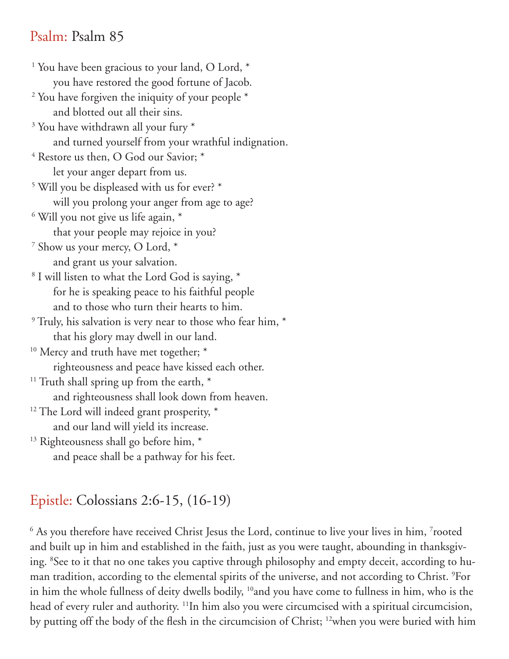#### Psalm: Psalm 85

<sup>1</sup> You have been gracious to your land, O Lord, \* you have restored the good fortune of Jacob. <sup>2</sup> You have forgiven the iniquity of your people \* and blotted out all their sins. <sup>3</sup> You have withdrawn all your fury \* and turned yourself from your wrathful indignation. 4 Restore us then, O God our Savior; \* let your anger depart from us. 5 Will you be displeased with us for ever? \* will you prolong your anger from age to age? 6 Will you not give us life again, \* that your people may rejoice in you? 7 Show us your mercy, O Lord, \* and grant us your salvation. 8 I will listen to what the Lord God is saying, \* for he is speaking peace to his faithful people and to those who turn their hearts to him. <sup>9</sup> Truly, his salvation is very near to those who fear him,  $*$  that his glory may dwell in our land. <sup>10</sup> Mercy and truth have met together; \* righteousness and peace have kissed each other. <sup>11</sup> Truth shall spring up from the earth,  $*$  and righteousness shall look down from heaven.  $12$  The Lord will indeed grant prosperity,  $*$  and our land will yield its increase. <sup>13</sup> Righteousness shall go before him, \* and peace shall be a pathway for his feet.

## Epistle: Colossians 2:6-15, (16-19)

 $^6$  As you therefore have received Christ Jesus the Lord, continue to live your lives in him,  $^7$ rooted and built up in him and established in the faith, just as you were taught, abounding in thanksgiving. 8 See to it that no one takes you captive through philosophy and empty deceit, according to human tradition, according to the elemental spirits of the universe, and not according to Christ. 9 For in him the whole fullness of deity dwells bodily, <sup>10</sup>and you have come to fullness in him, who is the head of every ruler and authority. <sup>11</sup>In him also you were circumcised with a spiritual circumcision, by putting off the body of the flesh in the circumcision of Christ; 12when you were buried with him